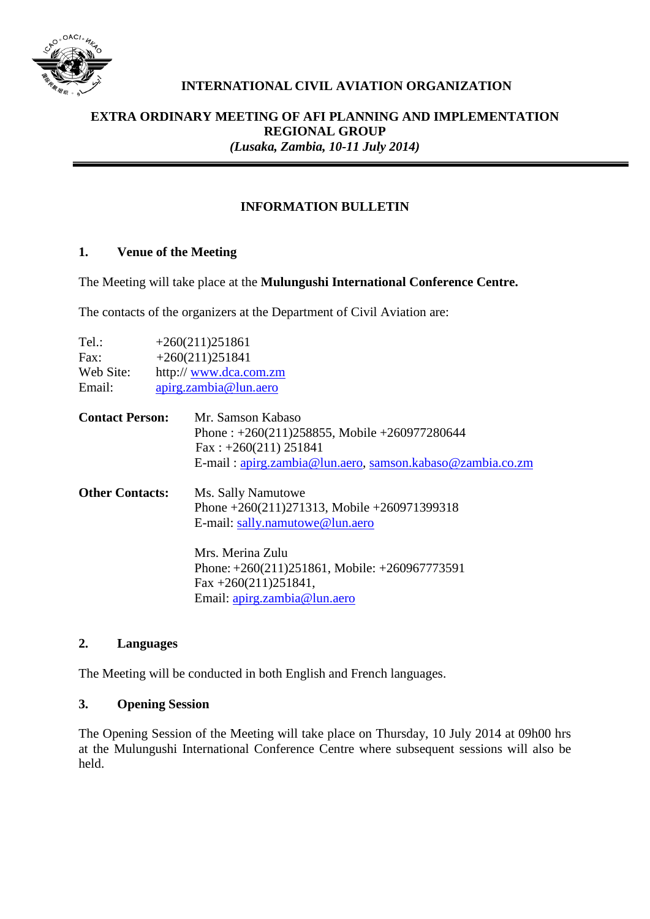

# **INTERNATIONAL CIVIL AVIATION ORGANIZATION**

### **EXTRA ORDINARY MEETING OF AFI PLANNING AND IMPLEMENTATION REGIONAL GROUP** *(Lusaka, Zambia, 10-11 July 2014)*

# **INFORMATION BULLETIN**

#### **1. Venue of the Meeting**

The Meeting will take place at the **Mulungushi International Conference Centre.**

The contacts of the organizers at the Department of Civil Aviation are:

| Tel.:                  | $+260(211)251861$     |                                                           |  |  |
|------------------------|-----------------------|-----------------------------------------------------------|--|--|
| Fax:                   | $+260(211)251841$     |                                                           |  |  |
| Web Site:              | http://www.dca.com.zm |                                                           |  |  |
| Email:                 | apirg.zambia@lun.aero |                                                           |  |  |
| <b>Contact Person:</b> |                       | Mr. Samson Kabaso                                         |  |  |
|                        |                       | Phone: $+260(211)258855$ , Mobile $+260977280644$         |  |  |
|                        |                       | $Fax: +260(211) 251841$                                   |  |  |
|                        |                       | E-mail: apirg.zambia@lun.aero, samson.kabaso@zambia.co.zm |  |  |
| <b>Other Contacts:</b> |                       | Ms. Sally Namutowe                                        |  |  |
|                        |                       | Phone $+260(211)271313$ , Mobile $+260971399318$          |  |  |
|                        |                       | E-mail: sally.namutowe@lun.aero                           |  |  |
|                        |                       | Mrs. Merina Zulu                                          |  |  |
|                        |                       | Phone: $+260(211)251861$ , Mobile: $+260967773591$        |  |  |
|                        |                       | $\text{Fax} + 260(211)251841,$                            |  |  |
|                        |                       | Email: apirg.zambia@lun.aero                              |  |  |
|                        |                       |                                                           |  |  |

## **2. Languages**

The Meeting will be conducted in both English and French languages.

#### **3. Opening Session**

The Opening Session of the Meeting will take place on Thursday, 10 July 2014 at 09h00 hrs at the Mulungushi International Conference Centre where subsequent sessions will also be held.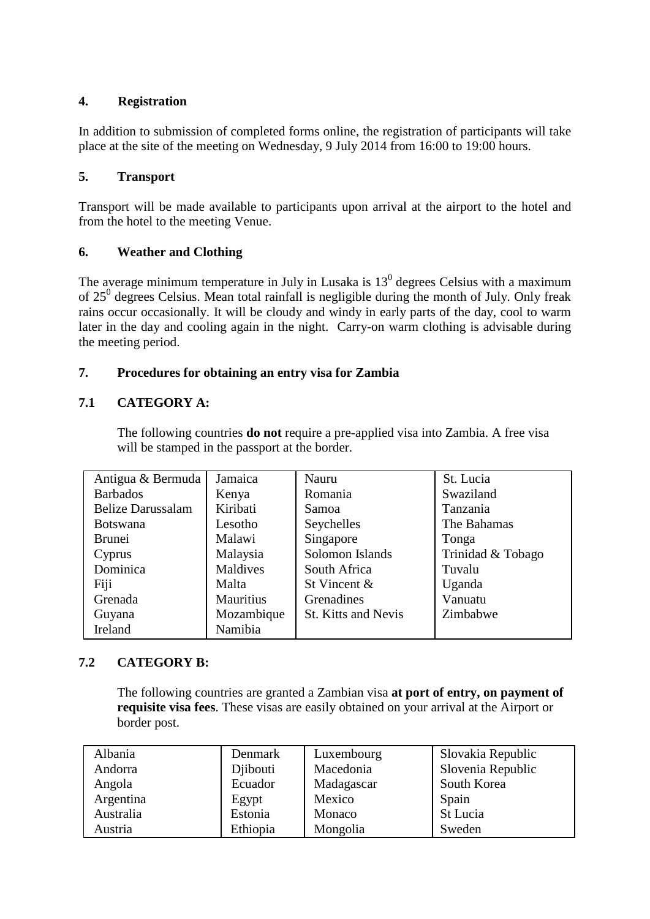# **4. Registration**

In addition to submission of completed forms online, the registration of participants will take place at the site of the meeting on Wednesday, 9 July 2014 from 16:00 to 19:00 hours.

## **5. Transport**

Transport will be made available to participants upon arrival at the airport to the hotel and from the hotel to the meeting Venue.

## **6. Weather and Clothing**

The average minimum temperature in July in Lusaka is  $13<sup>0</sup>$  degrees Celsius with a maximum of  $25^0$  degrees Celsius. Mean total rainfall is negligible during the month of July. Only freak rains occur occasionally. It will be cloudy and windy in early parts of the day, cool to warm later in the day and cooling again in the night. Carry-on warm clothing is advisable during the meeting period.

# **7. Procedures for obtaining an entry visa for Zambia**

# **7.1 CATEGORY A:**

The following countries **do not** require a pre-applied visa into Zambia. A free visa will be stamped in the passport at the border.

| Antigua & Bermuda        | Jamaica          | Nauru                      | St. Lucia         |
|--------------------------|------------------|----------------------------|-------------------|
| <b>Barbados</b>          | Kenya            | Romania                    | Swaziland         |
| <b>Belize Darussalam</b> | Kiribati         | Samoa                      | Tanzania          |
| <b>Botswana</b>          | Lesotho          | Seychelles                 | The Bahamas       |
| <b>Brunei</b>            | Malawi           | Singapore                  | Tonga             |
| Cyprus                   | Malaysia         | Solomon Islands            | Trinidad & Tobago |
| Dominica                 | Maldives         | South Africa               | Tuvalu            |
| Fiji                     | Malta            | St Vincent &               | Uganda            |
| Grenada                  | <b>Mauritius</b> | Grenadines                 | Vanuatu           |
| Guyana                   | Mozambique       | <b>St. Kitts and Nevis</b> | Zimbabwe          |
| Ireland                  | Namibia          |                            |                   |

# **7.2 CATEGORY B:**

The following countries are granted a Zambian visa **at port of entry, on payment of requisite visa fees**. These visas are easily obtained on your arrival at the Airport or border post.

| Albania   | Denmark  | Luxembourg | Slovakia Republic |
|-----------|----------|------------|-------------------|
| Andorra   | Diibouti | Macedonia  | Slovenia Republic |
| Angola    | Ecuador  | Madagascar | South Korea       |
| Argentina | Egypt    | Mexico     | Spain             |
| Australia | Estonia  | Monaco     | St Lucia          |
| Austria   | Ethiopia | Mongolia   | Sweden            |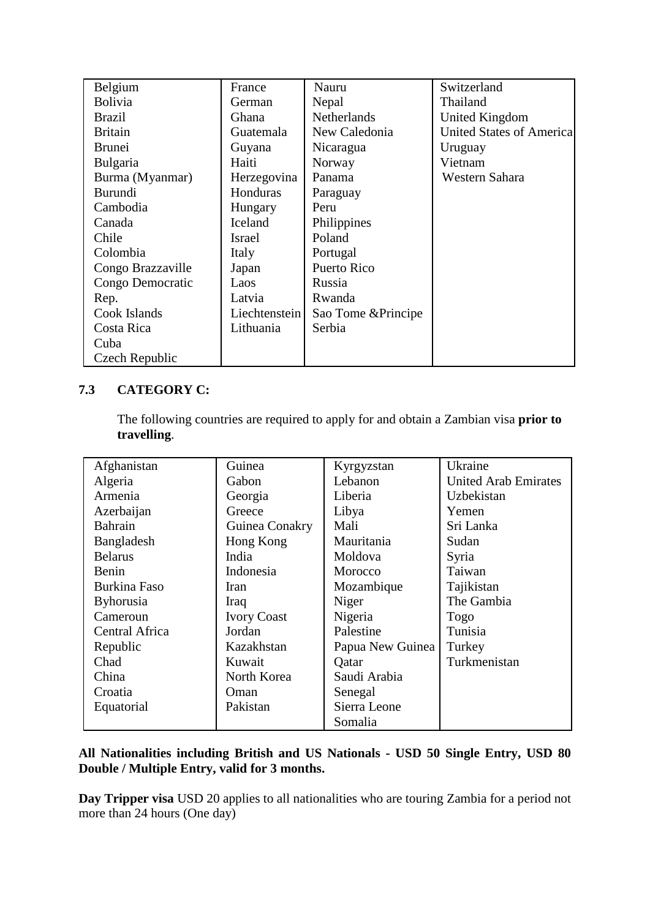| Belgium           | France        | Nauru               | Switzerland                     |
|-------------------|---------------|---------------------|---------------------------------|
| <b>Bolivia</b>    | German        | Nepal               | Thailand                        |
| <b>Brazil</b>     | Ghana         | <b>Netherlands</b>  | United Kingdom                  |
| <b>Britain</b>    | Guatemala     | New Caledonia       | <b>United States of America</b> |
| <b>Brunei</b>     | Guyana        | Nicaragua           | Uruguay                         |
| Bulgaria          | Haiti         | Norway              | Vietnam                         |
| Burma (Myanmar)   | Herzegovina   | Panama              | Western Sahara                  |
| Burundi           | Honduras      | Paraguay            |                                 |
| Cambodia          | Hungary       | Peru                |                                 |
| Canada            | Iceland       | Philippines         |                                 |
| Chile             | <b>Israel</b> | Poland              |                                 |
| Colombia          | Italy         | Portugal            |                                 |
| Congo Brazzaville | Japan         | Puerto Rico         |                                 |
| Congo Democratic  | Laos          | Russia              |                                 |
| Rep.              | Latvia        | Rwanda              |                                 |
| Cook Islands      | Liechtenstein | Sao Tome & Principe |                                 |
| Costa Rica        | Lithuania     | Serbia              |                                 |
| Cuba              |               |                     |                                 |
| Czech Republic    |               |                     |                                 |

# **7.3 CATEGORY C:**

The following countries are required to apply for and obtain a Zambian visa **prior to travelling**.

| Afghanistan      | Guinea             | Kyrgyzstan       | Ukraine                     |
|------------------|--------------------|------------------|-----------------------------|
| Algeria          | Gabon              | Lebanon          | <b>United Arab Emirates</b> |
| Armenia          | Georgia            | Liberia          | Uzbekistan                  |
| Azerbaijan       | Greece             | Libya            | Yemen                       |
| Bahrain          | Guinea Conakry     | Mali             | Sri Lanka                   |
| Bangladesh       | Hong Kong          | Mauritania       | Sudan                       |
| <b>Belarus</b>   | India              | Moldova          | Syria                       |
| Benin            | Indonesia          | Morocco          | Taiwan                      |
| Burkina Faso     | Iran               | Mozambique       | Tajikistan                  |
| <b>Byhorusia</b> | Iraq               | Niger            | The Gambia                  |
| Cameroun         | <b>Ivory Coast</b> | Nigeria          | Togo                        |
| Central Africa   | Jordan             | Palestine        | Tunisia                     |
| Republic         | Kazakhstan         | Papua New Guinea | Turkey                      |
| Chad             | Kuwait             | Qatar            | Turkmenistan                |
| China            | North Korea        | Saudi Arabia     |                             |
| Croatia          | Oman               | Senegal          |                             |
| Equatorial       | Pakistan           | Sierra Leone     |                             |
|                  |                    | Somalia          |                             |

# **All Nationalities including British and US Nationals - USD 50 Single Entry, USD 80 Double / Multiple Entry, valid for 3 months.**

**Day Tripper visa** USD 20 applies to all nationalities who are touring Zambia for a period not more than 24 hours (One day)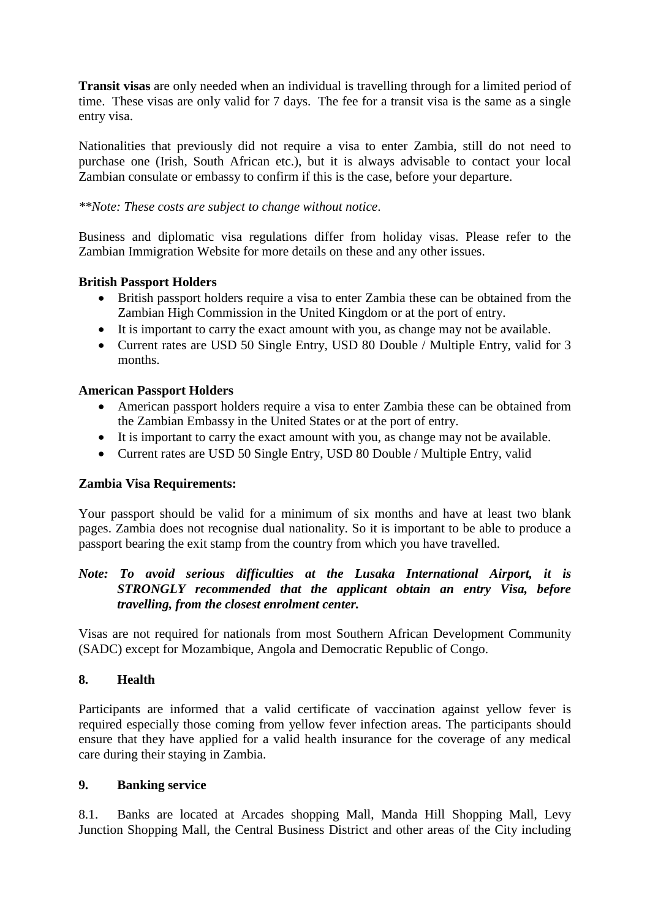**Transit visas** are only needed when an individual is travelling through for a limited period of time. These visas are only valid for 7 days. The fee for a transit visa is the same as a single entry visa.

Nationalities that previously did not require a visa to enter Zambia, still do not need to purchase one (Irish, South African etc.), but it is always advisable to contact your local Zambian consulate or embassy to confirm if this is the case, before your departure.

## *\*\*Note: These costs are subject to change without notice*.

Business and diplomatic visa regulations differ from holiday visas. Please refer to the Zambian Immigration Website for more details on these and any other issues.

## **British Passport Holders**

- British passport holders require a visa to enter Zambia these can be obtained from the Zambian High Commission in the United Kingdom or at the port of entry.
- It is important to carry the exact amount with you, as change may not be available.
- Current rates are USD 50 Single Entry, USD 80 Double / Multiple Entry, valid for 3 months.

## **American Passport Holders**

- American passport holders require a visa to enter Zambia these can be obtained from the Zambian Embassy in the United States or at the port of entry.
- It is important to carry the exact amount with you, as change may not be available.
- Current rates are USD 50 Single Entry, USD 80 Double / Multiple Entry, valid

# **Zambia Visa Requirements:**

Your passport should be valid for a minimum of six months and have at least two blank pages. Zambia does not recognise dual nationality. So it is important to be able to produce a passport bearing the exit stamp from the country from which you have travelled.

## *Note: To avoid serious difficulties at the Lusaka International Airport, it is STRONGLY recommended that the applicant obtain an entry Visa, before travelling, from the closest enrolment center.*

Visas are not required for nationals from most Southern African Development Community (SADC) except for Mozambique, Angola and Democratic Republic of Congo.

# **8. Health**

Participants are informed that a valid certificate of vaccination against yellow fever is required especially those coming from yellow fever infection areas. The participants should ensure that they have applied for a valid health insurance for the coverage of any medical care during their staying in Zambia.

#### **9. Banking service**

8.1. Banks are located at Arcades shopping Mall, Manda Hill Shopping Mall, Levy Junction Shopping Mall, the Central Business District and other areas of the City including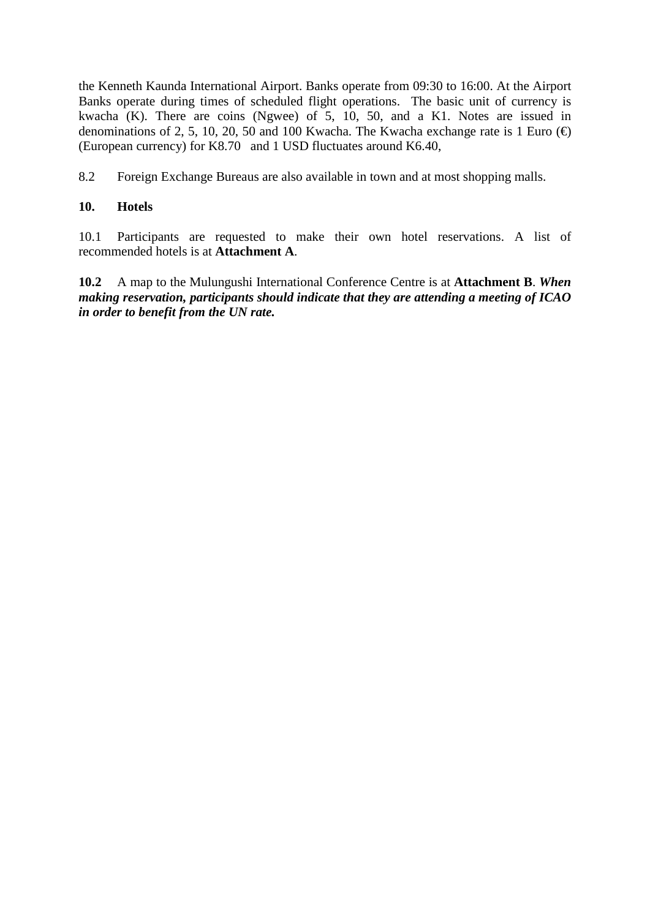the Kenneth Kaunda International Airport. Banks operate from 09:30 to 16:00. At the Airport Banks operate during times of scheduled flight operations. The basic unit of currency is kwacha (K). There are coins (Ngwee) of  $\overline{5}$ , 10, 50, and a K1. Notes are issued in denominations of 2, 5, 10, 20, 50 and 100 Kwacha. The Kwacha exchange rate is 1 Euro  $(\oplus)$ (European currency) for K8.70 and 1 USD fluctuates around K6.40,

8.2 Foreign Exchange Bureaus are also available in town and at most shopping malls.

# **10. Hotels**

10.1 Participants are requested to make their own hotel reservations. A list of recommended hotels is at **Attachment A**.

**10.2** A map to the Mulungushi International Conference Centre is at **Attachment B**. *When making reservation, participants should indicate that they are attending a meeting of ICAO in order to benefit from the UN rate.*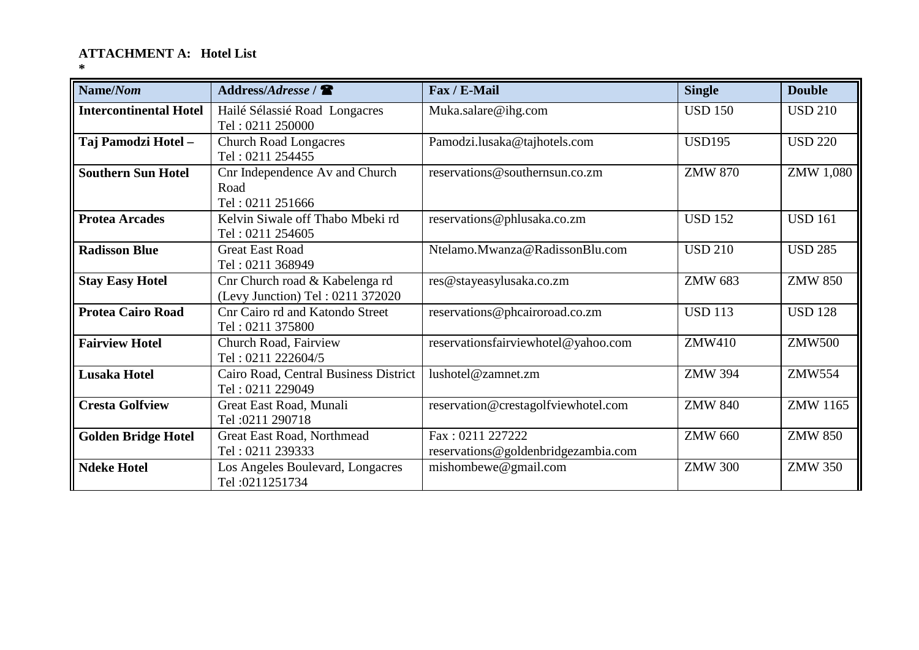# **ATTACHMENT A: Hotel List**

**\***

| Name/Nom                      | Address/Address /                                                  | Fax / E-Mail                                            | <b>Single</b>  | <b>Double</b>   |
|-------------------------------|--------------------------------------------------------------------|---------------------------------------------------------|----------------|-----------------|
| <b>Intercontinental Hotel</b> | Hailé Sélassié Road Longacres<br>Tel: 0211 250000                  | Muka.salare@ihg.com                                     | <b>USD 150</b> | <b>USD 210</b>  |
| Taj Pamodzi Hotel -           | <b>Church Road Longacres</b><br>Tel: 0211 254455                   | Pamodzi.lusaka@tajhotels.com                            | <b>USD195</b>  | <b>USD 220</b>  |
| <b>Southern Sun Hotel</b>     | Cnr Independence Av and Church<br>Road<br>Tel: 0211 251666         | reservations@southernsun.co.zm                          | <b>ZMW 870</b> | ZMW 1,080       |
| <b>Protea Arcades</b>         | Kelvin Siwale off Thabo Mbeki rd<br>Tel: 0211 254605               | reservations@phlusaka.co.zm                             | <b>USD 152</b> | <b>USD 161</b>  |
| <b>Radisson Blue</b>          | <b>Great East Road</b><br>Tel: 0211 368949                         | Ntelamo.Mwanza@RadissonBlu.com                          | <b>USD 210</b> | <b>USD 285</b>  |
| <b>Stay Easy Hotel</b>        | Cnr Church road & Kabelenga rd<br>(Levy Junction) Tel: 0211 372020 | res@stayeasylusaka.co.zm                                | <b>ZMW 683</b> | <b>ZMW 850</b>  |
| <b>Protea Cairo Road</b>      | Cnr Cairo rd and Katondo Street<br>Tel: 0211 375800                | reservations@phcairoroad.co.zm                          | <b>USD 113</b> | <b>USD 128</b>  |
| <b>Fairview Hotel</b>         | Church Road, Fairview<br>Tel: 0211 222604/5                        | reservationsfairviewhotel@yahoo.com                     | <b>ZMW410</b>  | <b>ZMW500</b>   |
| <b>Lusaka Hotel</b>           | Cairo Road, Central Business District<br>Tel: 0211 229049          | lushotel@zamnet.zm                                      | <b>ZMW 394</b> | <b>ZMW554</b>   |
| <b>Cresta Golfview</b>        | Great East Road, Munali<br>Tel: 0211 290718                        | reservation@crestagolfviewhotel.com                     | <b>ZMW 840</b> | <b>ZMW 1165</b> |
| <b>Golden Bridge Hotel</b>    | Great East Road, Northmead<br>Tel: 0211 239333                     | Fax: 0211 227222<br>reservations@goldenbridgezambia.com | <b>ZMW 660</b> | <b>ZMW 850</b>  |
| <b>Ndeke Hotel</b>            | Los Angeles Boulevard, Longacres<br>Tel: 0211251734                | mishombewe@gmail.com                                    | <b>ZMW 300</b> | <b>ZMW 350</b>  |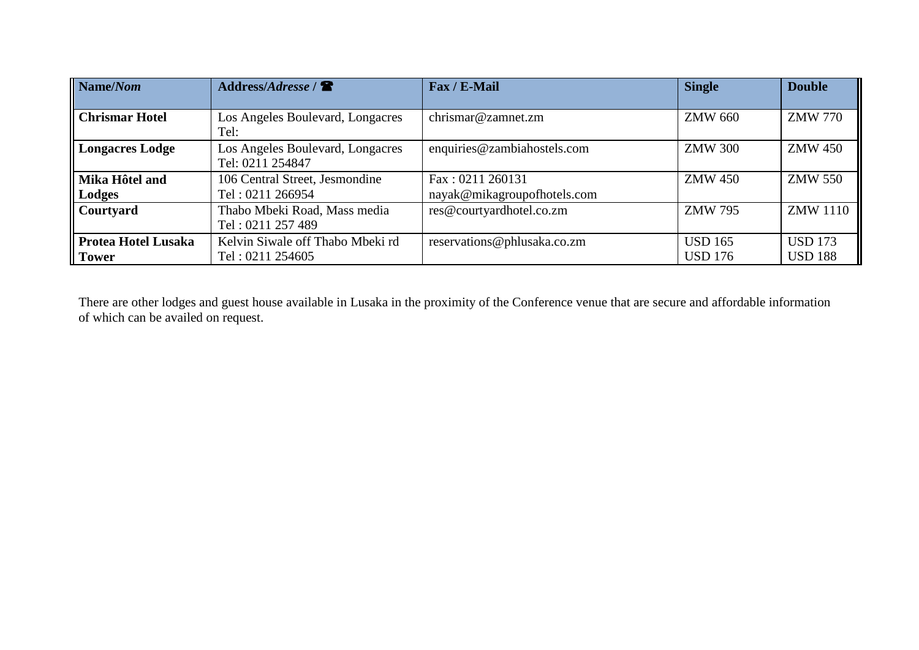| $\mathbf{Name}/\mathbf{Nom}$               | Address/Adresse /                                    | Fax / E-Mail                                    | <b>Single</b>                    | <b>Double</b>                    |
|--------------------------------------------|------------------------------------------------------|-------------------------------------------------|----------------------------------|----------------------------------|
| <b>Chrismar Hotel</b>                      | Los Angeles Boulevard, Longacres<br>Tel:             | chrismar@zamnet.zm                              | <b>ZMW 660</b>                   | <b>ZMW 770</b>                   |
| Longacres Lodge                            | Los Angeles Boulevard, Longacres<br>Tel: 0211 254847 | enquiries@zambiahostels.com                     | <b>ZMW 300</b>                   | <b>ZMW 450</b>                   |
| Mika Hôtel and<br>  Lodges                 | 106 Central Street, Jesmondine<br>Tel: 0211 266954   | Fax: 0211 260131<br>nayak@mikagroupofhotels.com | <b>ZMW 450</b>                   | <b>ZMW 550</b>                   |
| Courtyard                                  | Thabo Mbeki Road, Mass media<br>Tel: 0211 257 489    | res@courtyardhotel.co.zm                        | <b>ZMW 795</b>                   | <b>ZMW</b> 1110                  |
| <b>Protea Hotel Lusaka</b><br><b>Tower</b> | Kelvin Siwale off Thabo Mbeki rd<br>Tel: 0211 254605 | reservations@phlusaka.co.zm                     | <b>USD 165</b><br><b>USD 176</b> | <b>USD</b> 173<br><b>USD 188</b> |

There are other lodges and guest house available in Lusaka in the proximity of the Conference venue that are secure and affordable information of which can be availed on request.